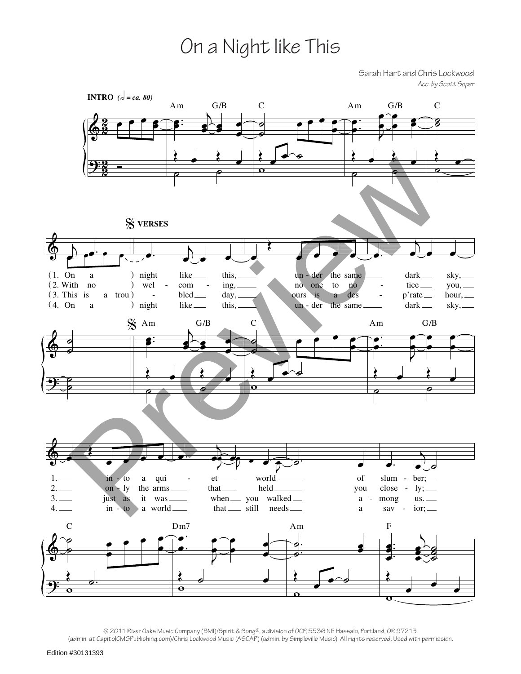## On a Night like This

Sarah Hart and Chris Lockwood *Acc. by Scott Soper*



© 2011 River Oaks Music Company (BMI)/Spirit & Song®, a division of OCP, 5536 NE Hassalo, Portland, OR 97213, (admin. at CapitolCMGPublishing.com)/Chris Lockwood Music (ASCAP) (admin. by Simpleville Music). All rights reserved. Used with permission.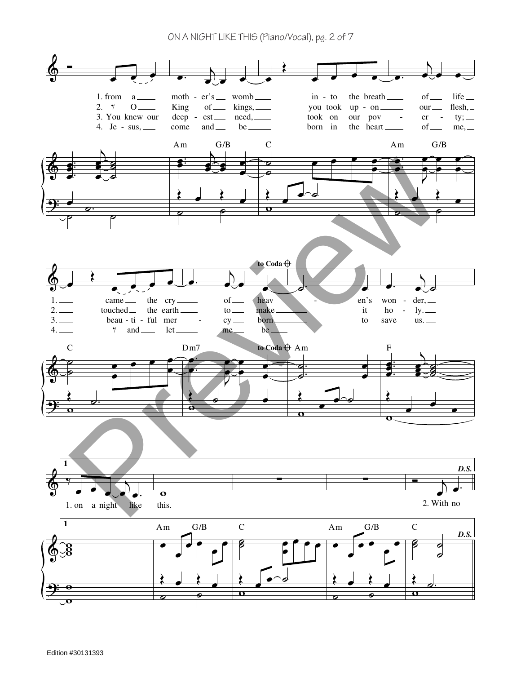ON A NIGHT LIKE THIS (Piano/Vocal), pg. 2 of 7

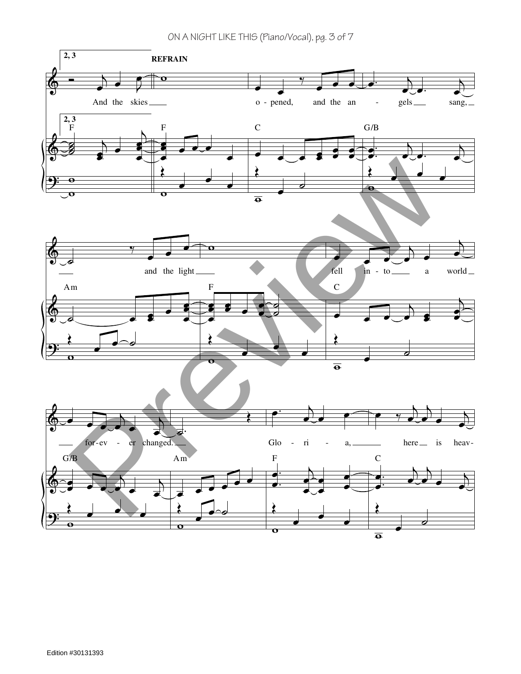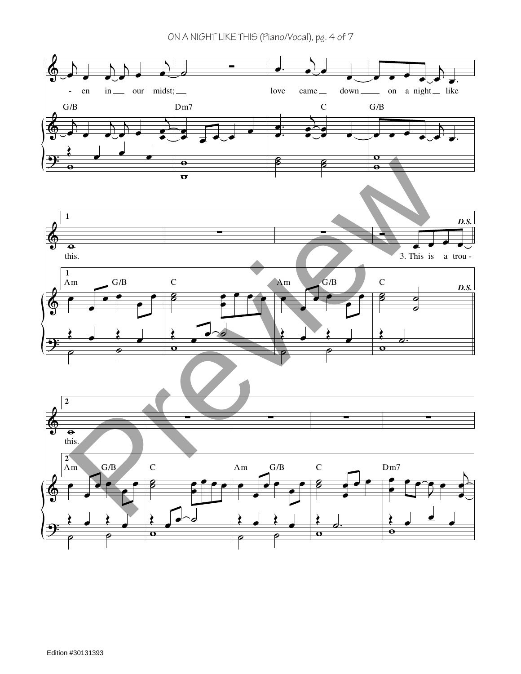ON A NIGHT LIKE THIS (Piano/Vocal), pg. 4 of 7

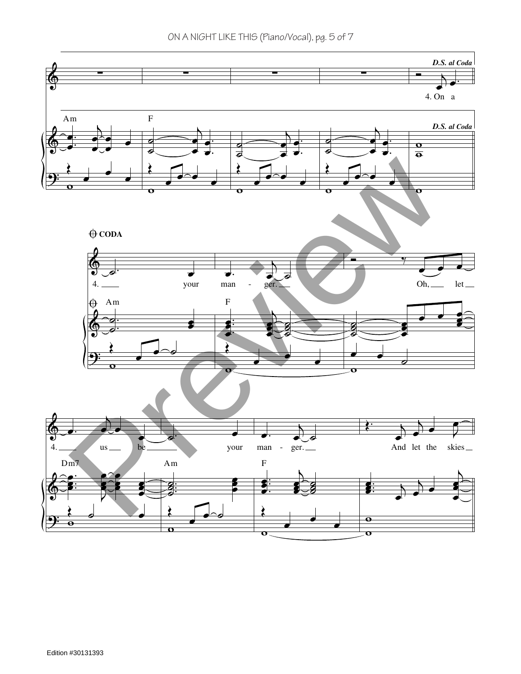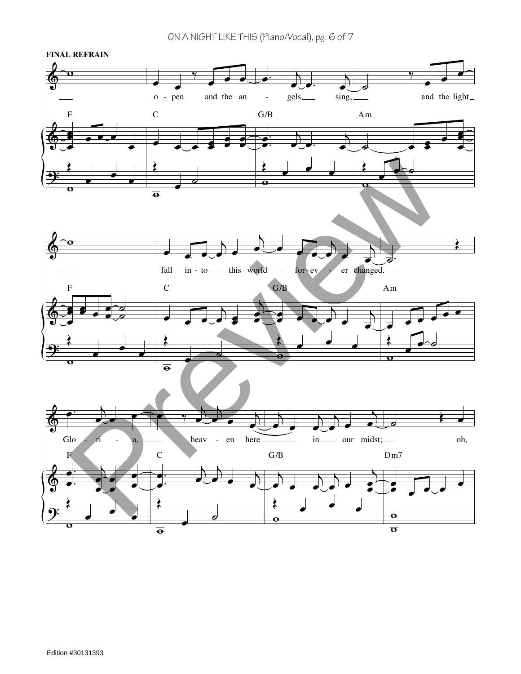ON A NIGHT LIKE THIS (Piano/Vocal), pg. 6 of 7